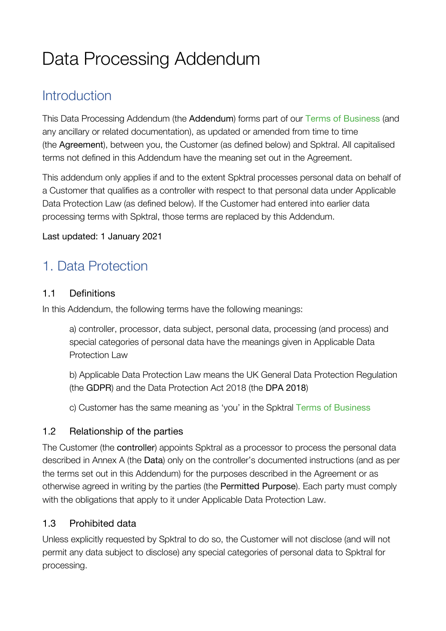# Data Processing Addendum

# **Introduction**

This Data Processing Addendum (the Addendum) forms part of our Terms of Business (and any ancillary or related documentation), as updated or amended from time to time (the Agreement), between you, the Customer (as defined below) and Spktral. All capitalised terms not defined in this Addendum have the meaning set out in the Agreement.

This addendum only applies if and to the extent Spktral processes personal data on behalf of a Customer that qualifies as a controller with respect to that personal data under Applicable Data Protection Law (as defined below). If the Customer had entered into earlier data processing terms with Spktral, those terms are replaced by this Addendum.

#### Last updated: 1 January 2021

# 1. Data Protection

#### 1.1 Definitions

In this Addendum, the following terms have the following meanings:

a) controller, processor, data subject, personal data, processing (and process) and special categories of personal data have the meanings given in Applicable Data Protection Law

b) Applicable Data Protection Law means the UK General Data Protection Regulation (the GDPR) and the Data Protection Act 2018 (the DPA 2018)

c) Customer has the same meaning as 'you' in the Spktral Terms of Business

#### 1.2 Relationship of the parties

The Customer (the controller) appoints Spktral as a processor to process the personal data described in Annex A (the Data) only on the controller's documented instructions (and as per the terms set out in this Addendum) for the purposes described in the Agreement or as otherwise agreed in writing by the parties (the Permitted Purpose). Each party must comply with the obligations that apply to it under Applicable Data Protection Law.

#### 1.3 Prohibited data

Unless explicitly requested by Spktral to do so, the Customer will not disclose (and will not permit any data subject to disclose) any special categories of personal data to Spktral for processing.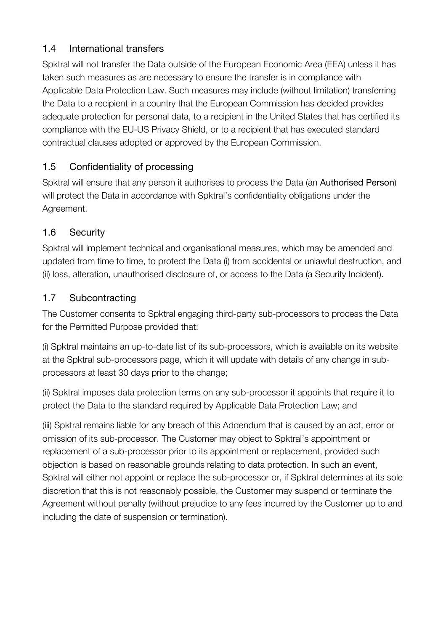# 1.4 International transfers

Spktral will not transfer the Data outside of the European Economic Area (EEA) unless it has taken such measures as are necessary to ensure the transfer is in compliance with Applicable Data Protection Law. Such measures may include (without limitation) transferring the Data to a recipient in a country that the European Commission has decided provides adequate protection for personal data, to a recipient in the United States that has certified its compliance with the EU-US Privacy Shield, or to a recipient that has executed standard contractual clauses adopted or approved by the European Commission.

# 1.5 Confidentiality of processing

Spktral will ensure that any person it authorises to process the Data (an Authorised Person) will protect the Data in accordance with Spktral's confidentiality obligations under the Agreement.

# 1.6 Security

Spktral will implement technical and organisational measures, which may be amended and updated from time to time, to protect the Data (i) from accidental or unlawful destruction, and (ii) loss, alteration, unauthorised disclosure of, or access to the Data (a Security Incident).

# 1.7 Subcontracting

The Customer consents to Spktral engaging third-party sub-processors to process the Data for the Permitted Purpose provided that:

(i) Spktral maintains an up-to-date list of its sub-processors, which is available on its website at the Spktral sub-processors page, which it will update with details of any change in subprocessors at least 30 days prior to the change;

(ii) Spktral imposes data protection terms on any sub-processor it appoints that require it to protect the Data to the standard required by Applicable Data Protection Law; and

(iii) Spktral remains liable for any breach of this Addendum that is caused by an act, error or omission of its sub-processor. The Customer may object to Spktral's appointment or replacement of a sub-processor prior to its appointment or replacement, provided such objection is based on reasonable grounds relating to data protection. In such an event, Spktral will either not appoint or replace the sub-processor or, if Spktral determines at its sole discretion that this is not reasonably possible, the Customer may suspend or terminate the Agreement without penalty (without prejudice to any fees incurred by the Customer up to and including the date of suspension or termination).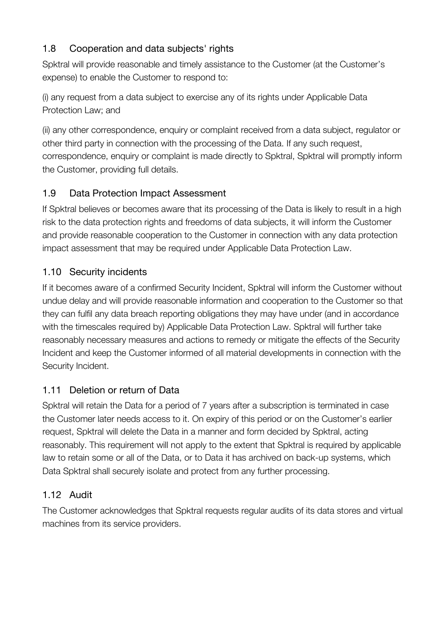# 1.8 Cooperation and data subjects' rights

Spktral will provide reasonable and timely assistance to the Customer (at the Customer's expense) to enable the Customer to respond to:

(i) any request from a data subject to exercise any of its rights under Applicable Data Protection Law; and

(ii) any other correspondence, enquiry or complaint received from a data subject, regulator or other third party in connection with the processing of the Data. If any such request, correspondence, enquiry or complaint is made directly to Spktral, Spktral will promptly inform the Customer, providing full details.

# 1.9 Data Protection Impact Assessment

If Spktral believes or becomes aware that its processing of the Data is likely to result in a high risk to the data protection rights and freedoms of data subjects, it will inform the Customer and provide reasonable cooperation to the Customer in connection with any data protection impact assessment that may be required under Applicable Data Protection Law.

# 1.10 Security incidents

If it becomes aware of a confirmed Security Incident, Spktral will inform the Customer without undue delay and will provide reasonable information and cooperation to the Customer so that they can fulfil any data breach reporting obligations they may have under (and in accordance with the timescales required by) Applicable Data Protection Law. Spktral will further take reasonably necessary measures and actions to remedy or mitigate the effects of the Security Incident and keep the Customer informed of all material developments in connection with the Security Incident.

# 1.11 Deletion or return of Data

Spktral will retain the Data for a period of 7 years after a subscription is terminated in case the Customer later needs access to it. On expiry of this period or on the Customer's earlier request, Spktral will delete the Data in a manner and form decided by Spktral, acting reasonably. This requirement will not apply to the extent that Spktral is required by applicable law to retain some or all of the Data, or to Data it has archived on back-up systems, which Data Spktral shall securely isolate and protect from any further processing.

# 1.12 Audit

The Customer acknowledges that Spktral requests regular audits of its data stores and virtual machines from its service providers.